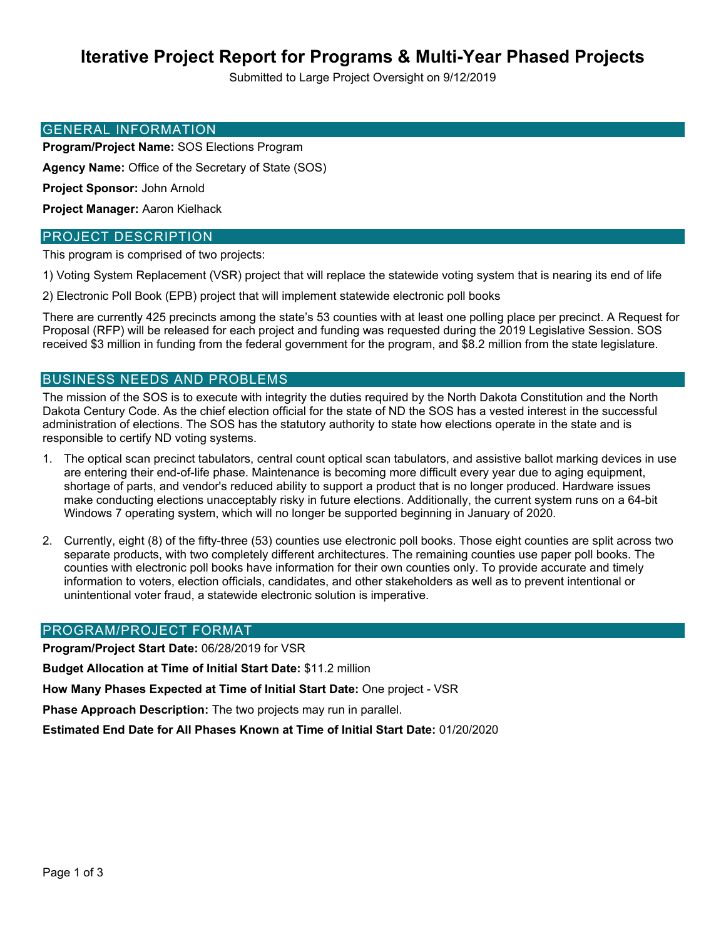# **Iterative Project Report for Programs & Multi-Year Phased Projects**

Submitted to Large Project Oversight on 9/12/2019

#### GENERAL INFORMATION

**Program/Project Name:** SOS Elections Program

**Agency Name:** Office of the Secretary of State (SOS)

**Project Sponsor:** John Arnold

**Project Manager:** Aaron Kielhack

### PROJECT DESCRIPTION

This program is comprised of two projects:

1) Voting System Replacement (VSR) project that will replace the statewide voting system that is nearing its end of life

2) Electronic Poll Book (EPB) project that will implement statewide electronic poll books

There are currently 425 precincts among the state's 53 counties with at least one polling place per precinct. A Request for Proposal (RFP) will be released for each project and funding was requested during the 2019 Legislative Session. SOS received \$3 million in funding from the federal government for the program, and \$8.2 million from the state legislature.

### BUSINESS NEEDS AND PROBLEMS

The mission of the SOS is to execute with integrity the duties required by the North Dakota Constitution and the North Dakota Century Code. As the chief election official for the state of ND the SOS has a vested interest in the successful administration of elections. The SOS has the statutory authority to state how elections operate in the state and is responsible to certify ND voting systems.

- 1. The optical scan precinct tabulators, central count optical scan tabulators, and assistive ballot marking devices in use are entering their end-of-life phase. Maintenance is becoming more difficult every year due to aging equipment, shortage of parts, and vendor's reduced ability to support a product that is no longer produced. Hardware issues make conducting elections unacceptably risky in future elections. Additionally, the current system runs on a 64-bit Windows 7 operating system, which will no longer be supported beginning in January of 2020.
- 2. Currently, eight (8) of the fifty-three (53) counties use electronic poll books. Those eight counties are split across two separate products, with two completely different architectures. The remaining counties use paper poll books. The counties with electronic poll books have information for their own counties only. To provide accurate and timely information to voters, election officials, candidates, and other stakeholders as well as to prevent intentional or unintentional voter fraud, a statewide electronic solution is imperative.

#### PROGRAM/PROJECT FORMAT

**Program/Project Start Date:** 06/28/2019 for VSR

**Budget Allocation at Time of Initial Start Date:** \$11.2 million

**How Many Phases Expected at Time of Initial Start Date:** One project - VSR

**Phase Approach Description:** The two projects may run in parallel.

**Estimated End Date for All Phases Known at Time of Initial Start Date:** 01/20/2020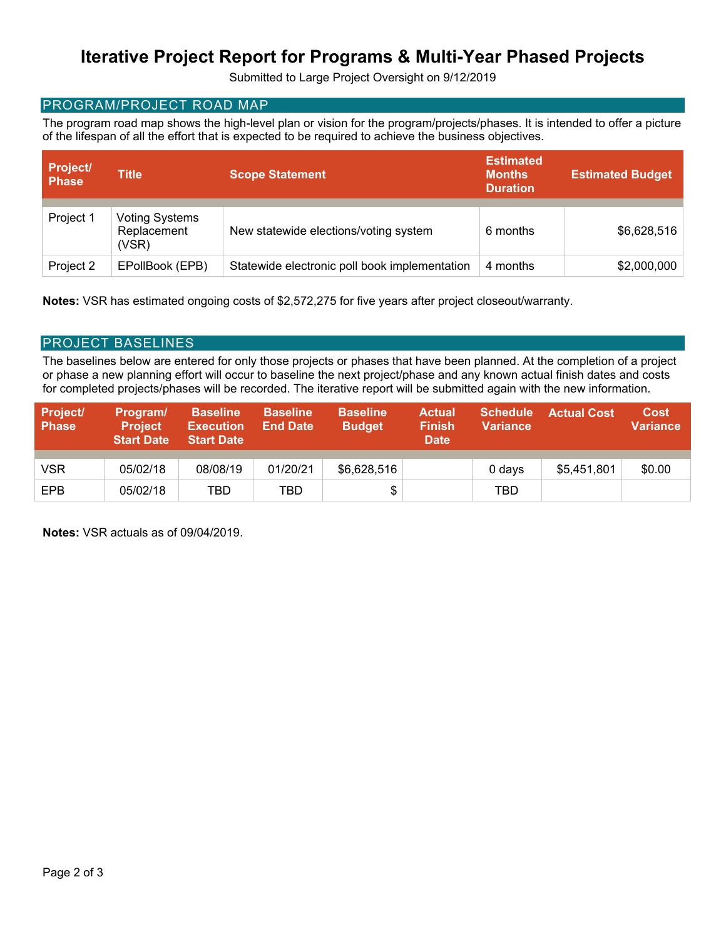# **Iterative Project Report for Programs & Multi-Year Phased Projects**

Submitted to Large Project Oversight on 9/12/2019

## PROGRAM/PROJECT ROAD MAP

The program road map shows the high-level plan or vision for the program/projects/phases. It is intended to offer a picture of the lifespan of all the effort that is expected to be required to achieve the business objectives.

| <b>Project/</b><br><b>Phase</b> | <b>Title</b>                                  | <b>Scope Statement</b>                        | <b>Estimated</b><br><b>Months</b><br><b>Duration</b> | <b>Estimated Budget</b> |  |
|---------------------------------|-----------------------------------------------|-----------------------------------------------|------------------------------------------------------|-------------------------|--|
| Project 1                       | <b>Voting Systems</b><br>Replacement<br>(VSR) | New statewide elections/voting system         | 6 months                                             | \$6,628,516             |  |
| Project 2                       | EPollBook (EPB)                               | Statewide electronic poll book implementation | 4 months                                             | \$2,000,000             |  |

**Notes:** VSR has estimated ongoing costs of \$2,572,275 for five years after project closeout/warranty.

### PROJECT BASELINES

The baselines below are entered for only those projects or phases that have been planned. At the completion of a project or phase a new planning effort will occur to baseline the next project/phase and any known actual finish dates and costs for completed projects/phases will be recorded. The iterative report will be submitted again with the new information.

| Project/<br><b>Phase</b> | Program/<br><b>Project</b><br><b>Start Date</b> | <b>Baseline</b><br><b>Execution</b><br><b>Start Date</b> | <b>Baseline</b><br><b>End Date</b> | <b>Baseline</b><br><b>Budget</b> | <b>Actual</b><br><b>Finish</b><br><b>Date</b> | <b>Schedule</b><br><b>Variance</b> | <b>Actual Cost.</b> | <b>Cost</b><br><b>Variance</b> |
|--------------------------|-------------------------------------------------|----------------------------------------------------------|------------------------------------|----------------------------------|-----------------------------------------------|------------------------------------|---------------------|--------------------------------|
| VSR                      | 05/02/18                                        | 08/08/19                                                 | 01/20/21                           | \$6,628,516                      |                                               | 0 days                             | \$5,451,801         | \$0.00                         |
| EPB                      | 05/02/18                                        | TBD                                                      | TBD                                |                                  |                                               | TBD                                |                     |                                |

**Notes:** VSR actuals as of 09/04/2019.